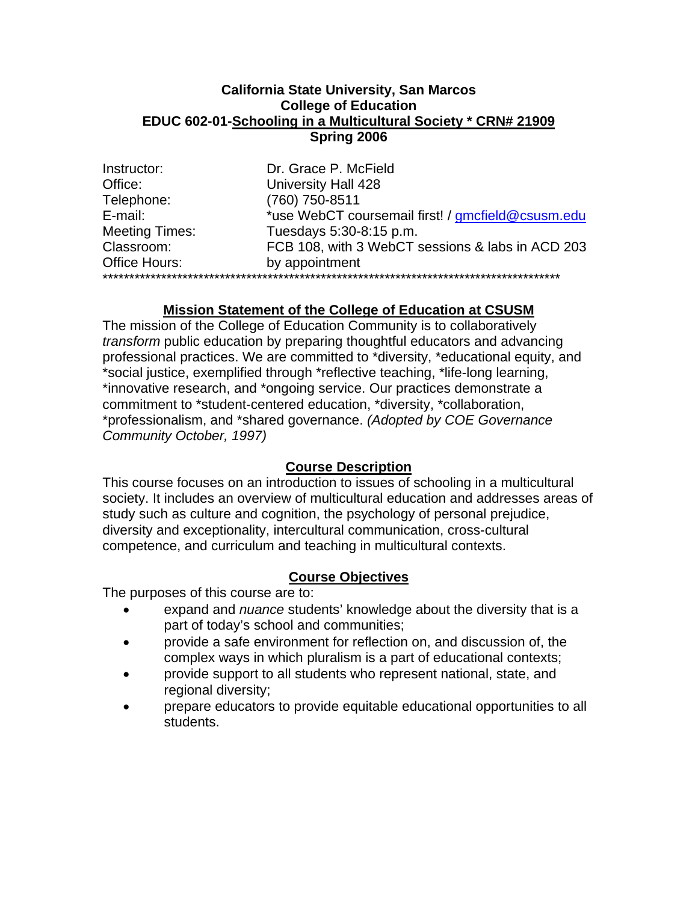#### **California State University, San Marcos College of Education EDUC 602-01-Schooling in a Multicultural Society \* CRN# 21909 Spring 2006**

| Instructor:           | Dr. Grace P. McField                              |
|-----------------------|---------------------------------------------------|
| Office:               | University Hall 428                               |
| Telephone:            | (760) 750-8511                                    |
| E-mail:               | *use WebCT coursemail first! / gmcfield@csusm.edu |
| <b>Meeting Times:</b> | Tuesdays 5:30-8:15 p.m.                           |
| Classroom:            | FCB 108, with 3 WebCT sessions & labs in ACD 203  |
| Office Hours:         | by appointment                                    |
|                       |                                                   |

# **Mission Statement of the College of Education at CSUSM**

The mission of the College of Education Community is to collaboratively *transform* public education by preparing thoughtful educators and advancing professional practices. We are committed to \*diversity, \*educational equity, and \*social justice, exemplified through \*reflective teaching, \*life-long learning, \*innovative research, and \*ongoing service. Our practices demonstrate a commitment to \*student-centered education, \*diversity, \*collaboration, \*professionalism, and \*shared governance. *(Adopted by COE Governance Community October, 1997)*

## **Course Description**

This course focuses on an introduction to issues of schooling in a multicultural society. It includes an overview of multicultural education and addresses areas of study such as culture and cognition, the psychology of personal prejudice, diversity and exceptionality, intercultural communication, cross-cultural competence, and curriculum and teaching in multicultural contexts.

# **Course Objectives**

The purposes of this course are to:

- expand and *nuance* students' knowledge about the diversity that is a part of today's school and communities;
- provide a safe environment for reflection on, and discussion of, the complex ways in which pluralism is a part of educational contexts;
- provide support to all students who represent national, state, and regional diversity;
- prepare educators to provide equitable educational opportunities to all students.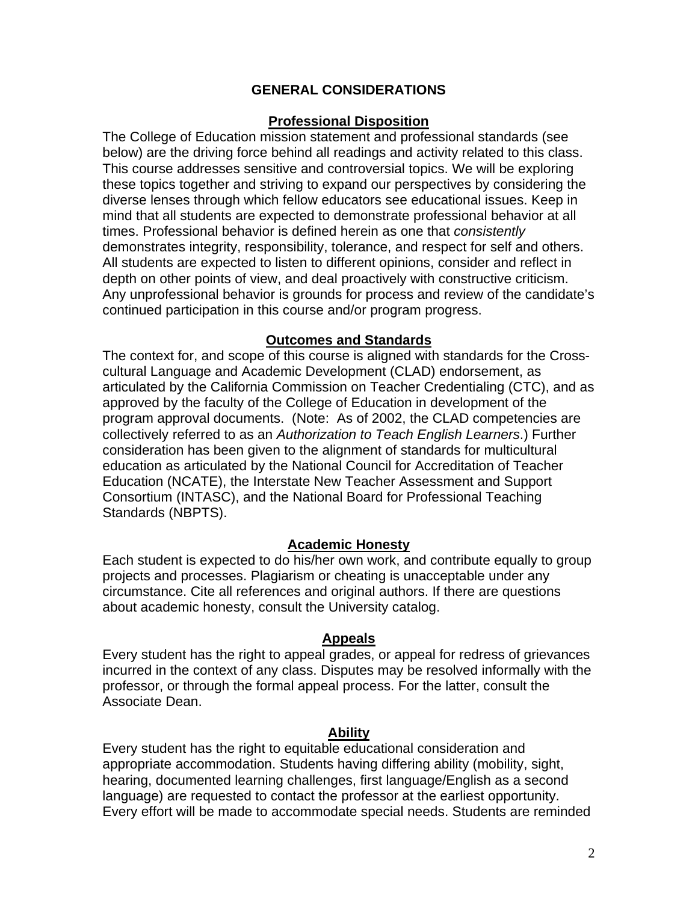## **GENERAL CONSIDERATIONS**

## **Professional Disposition**

The College of Education mission statement and professional standards (see below) are the driving force behind all readings and activity related to this class. This course addresses sensitive and controversial topics. We will be exploring these topics together and striving to expand our perspectives by considering the diverse lenses through which fellow educators see educational issues. Keep in mind that all students are expected to demonstrate professional behavior at all times. Professional behavior is defined herein as one that *consistently* demonstrates integrity, responsibility, tolerance, and respect for self and others. All students are expected to listen to different opinions, consider and reflect in depth on other points of view, and deal proactively with constructive criticism. Any unprofessional behavior is grounds for process and review of the candidate's continued participation in this course and/or program progress.

#### **Outcomes and Standards**

The context for, and scope of this course is aligned with standards for the Crosscultural Language and Academic Development (CLAD) endorsement, as articulated by the California Commission on Teacher Credentialing (CTC), and as approved by the faculty of the College of Education in development of the program approval documents. (Note: As of 2002, the CLAD competencies are collectively referred to as an *Authorization to Teach English Learners*.) Further consideration has been given to the alignment of standards for multicultural education as articulated by the National Council for Accreditation of Teacher Education (NCATE), the Interstate New Teacher Assessment and Support Consortium (INTASC), and the National Board for Professional Teaching Standards (NBPTS).

## **Academic Honesty**

Each student is expected to do his/her own work, and contribute equally to group projects and processes. Plagiarism or cheating is unacceptable under any circumstance. Cite all references and original authors. If there are questions about academic honesty, consult the University catalog.

#### **Appeals**

Every student has the right to appeal grades, or appeal for redress of grievances incurred in the context of any class. Disputes may be resolved informally with the professor, or through the formal appeal process. For the latter, consult the Associate Dean.

#### **Ability**

Every student has the right to equitable educational consideration and appropriate accommodation. Students having differing ability (mobility, sight, hearing, documented learning challenges, first language/English as a second language) are requested to contact the professor at the earliest opportunity. Every effort will be made to accommodate special needs. Students are reminded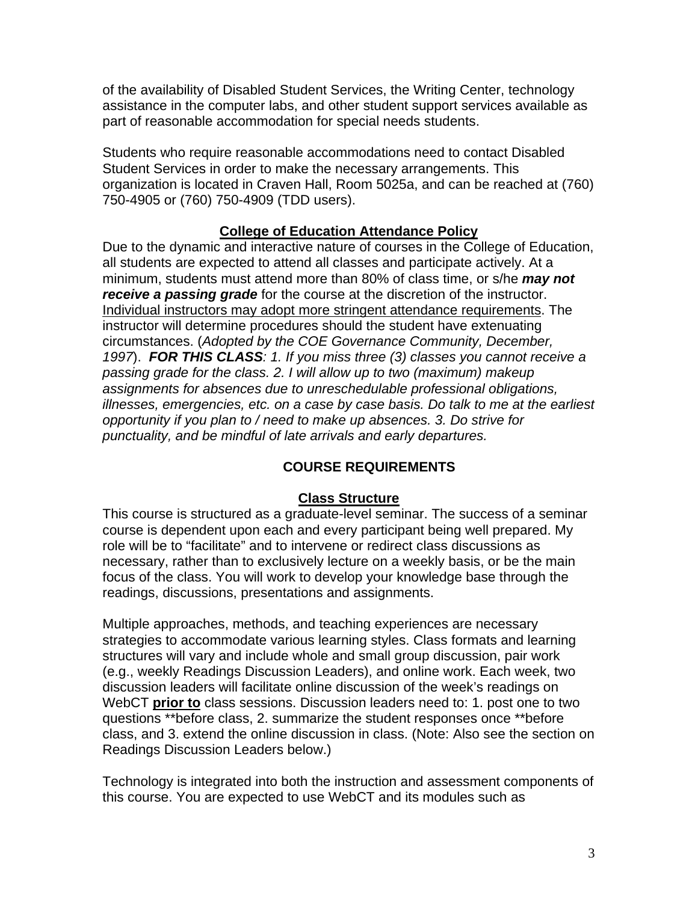of the availability of Disabled Student Services, the Writing Center, technology assistance in the computer labs, and other student support services available as part of reasonable accommodation for special needs students.

Students who require reasonable accommodations need to contact Disabled Student Services in order to make the necessary arrangements. This organization is located in Craven Hall, Room 5025a, and can be reached at (760) 750-4905 or (760) 750-4909 (TDD users).

# **College of Education Attendance Policy**

Due to the dynamic and interactive nature of courses in the College of Education, all students are expected to attend all classes and participate actively. At a minimum, students must attend more than 80% of class time, or s/he *may not receive a passing grade* for the course at the discretion of the instructor. Individual instructors may adopt more stringent attendance requirements. The instructor will determine procedures should the student have extenuating circumstances. (*Adopted by the COE Governance Community, December, 1997*). *FOR THIS CLASS: 1. If you miss three (3) classes you cannot receive a passing grade for the class. 2. I will allow up to two (maximum) makeup assignments for absences due to unreschedulable professional obligations, illnesses, emergencies, etc. on a case by case basis. Do talk to me at the earliest opportunity if you plan to / need to make up absences. 3. Do strive for punctuality, and be mindful of late arrivals and early departures.*

# **COURSE REQUIREMENTS**

## **Class Structure**

This course is structured as a graduate-level seminar. The success of a seminar course is dependent upon each and every participant being well prepared. My role will be to "facilitate" and to intervene or redirect class discussions as necessary, rather than to exclusively lecture on a weekly basis, or be the main focus of the class. You will work to develop your knowledge base through the readings, discussions, presentations and assignments.

Multiple approaches, methods, and teaching experiences are necessary strategies to accommodate various learning styles. Class formats and learning structures will vary and include whole and small group discussion, pair work (e.g., weekly Readings Discussion Leaders), and online work. Each week, two discussion leaders will facilitate online discussion of the week's readings on WebCT **prior to** class sessions. Discussion leaders need to: 1. post one to two questions \*\*before class, 2. summarize the student responses once \*\*before class, and 3. extend the online discussion in class. (Note: Also see the section on Readings Discussion Leaders below.)

Technology is integrated into both the instruction and assessment components of this course. You are expected to use WebCT and its modules such as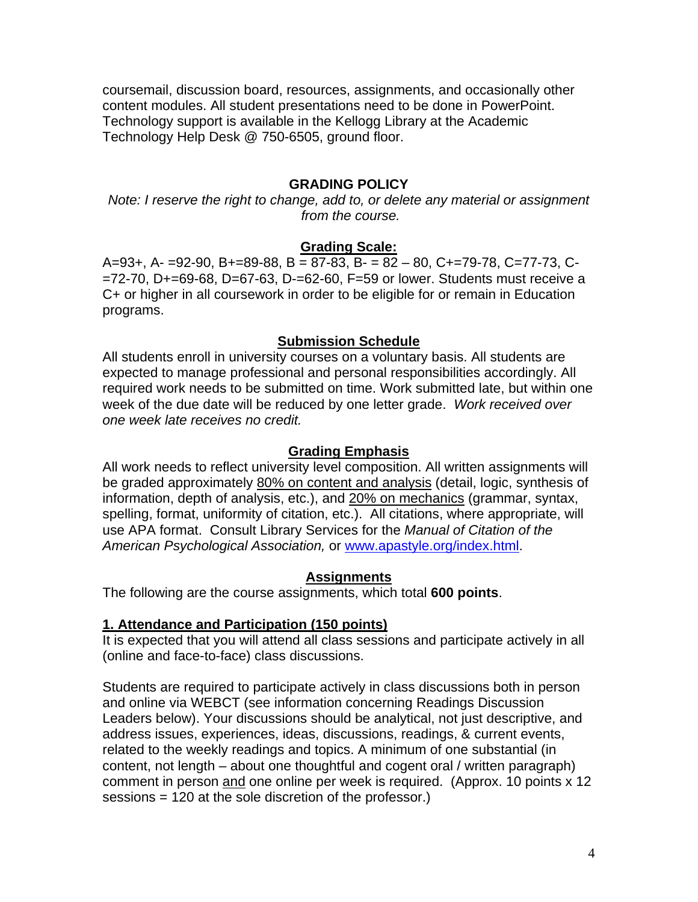coursemail, discussion board, resources, assignments, and occasionally other content modules. All student presentations need to be done in PowerPoint. Technology support is available in the Kellogg Library at the Academic Technology Help Desk @ 750-6505, ground floor.

## **GRADING POLICY**

*Note: I reserve the right to change, add to, or delete any material or assignment from the course.* 

## **Grading Scale:**

A=93+, A- =92-90, B+=89-88, B = 87-83, B- = 82 - 80, C+=79-78, C=77-73, C-=72-70, D+=69-68, D=67-63, D-=62-60, F=59 or lower. Students must receive a C+ or higher in all coursework in order to be eligible for or remain in Education programs.

#### **Submission Schedule**

All students enroll in university courses on a voluntary basis. All students are expected to manage professional and personal responsibilities accordingly. All required work needs to be submitted on time. Work submitted late, but within one week of the due date will be reduced by one letter grade. *Work received over one week late receives no credit.* 

#### **Grading Emphasis**

All work needs to reflect university level composition. All written assignments will be graded approximately 80% on content and analysis (detail, logic, synthesis of information, depth of analysis, etc.), and 20% on mechanics (grammar, syntax, spelling, format, uniformity of citation, etc.). All citations, where appropriate, will use APA format. Consult Library Services for the *Manual of Citation of the American Psychological Association,* or www.apastyle.org/index.html.

#### **Assignments**

The following are the course assignments, which total **600 points**.

#### **1. Attendance and Participation (150 points)**

It is expected that you will attend all class sessions and participate actively in all (online and face-to-face) class discussions.

Students are required to participate actively in class discussions both in person and online via WEBCT (see information concerning Readings Discussion Leaders below). Your discussions should be analytical, not just descriptive, and address issues, experiences, ideas, discussions, readings, & current events, related to the weekly readings and topics. A minimum of one substantial (in content, not length – about one thoughtful and cogent oral / written paragraph) comment in person and one online per week is required. (Approx. 10 points x 12 sessions = 120 at the sole discretion of the professor.)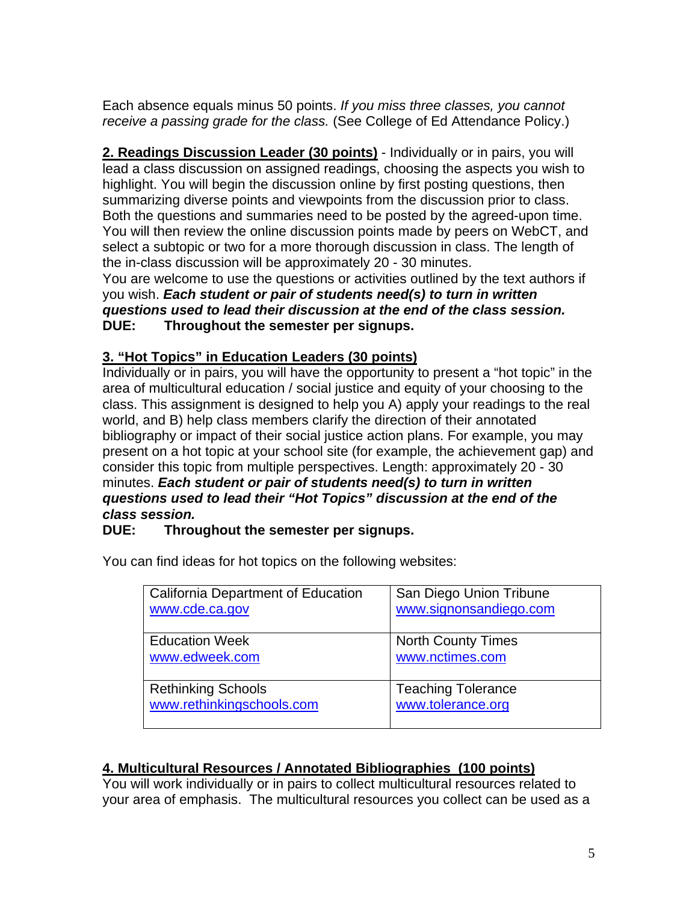Each absence equals minus 50 points. *If you miss three classes, you cannot receive a passing grade for the class.* (See College of Ed Attendance Policy.)

**2. Readings Discussion Leader (30 points)** - Individually or in pairs, you will lead a class discussion on assigned readings, choosing the aspects you wish to highlight. You will begin the discussion online by first posting questions, then summarizing diverse points and viewpoints from the discussion prior to class. Both the questions and summaries need to be posted by the agreed-upon time. You will then review the online discussion points made by peers on WebCT, and select a subtopic or two for a more thorough discussion in class. The length of the in-class discussion will be approximately 20 - 30 minutes.

You are welcome to use the questions or activities outlined by the text authors if you wish. *Each student or pair of students need(s) to turn in written questions used to lead their discussion at the end of the class session.* **DUE: Throughout the semester per signups.** 

# **3. "Hot Topics" in Education Leaders (30 points)**

Individually or in pairs, you will have the opportunity to present a "hot topic" in the area of multicultural education / social justice and equity of your choosing to the class. This assignment is designed to help you A) apply your readings to the real world, and B) help class members clarify the direction of their annotated bibliography or impact of their social justice action plans. For example, you may present on a hot topic at your school site (for example, the achievement gap) and consider this topic from multiple perspectives. Length: approximately 20 - 30 minutes. *Each student or pair of students need(s) to turn in written questions used to lead their "Hot Topics" discussion at the end of the class session.*

## **DUE: Throughout the semester per signups.**

| California Department of Education | San Diego Union Tribune   |
|------------------------------------|---------------------------|
| www.cde.ca.gov                     | www.signonsandiego.com    |
| <b>Education Week</b>              | <b>North County Times</b> |
| www.edweek.com                     | www.nctimes.com           |
| <b>Rethinking Schools</b>          | <b>Teaching Tolerance</b> |
| www.rethinkingschools.com          | www.tolerance.org         |

You can find ideas for hot topics on the following websites:

# **4. Multicultural Resources / Annotated Bibliographies (100 points)**

You will work individually or in pairs to collect multicultural resources related to your area of emphasis. The multicultural resources you collect can be used as a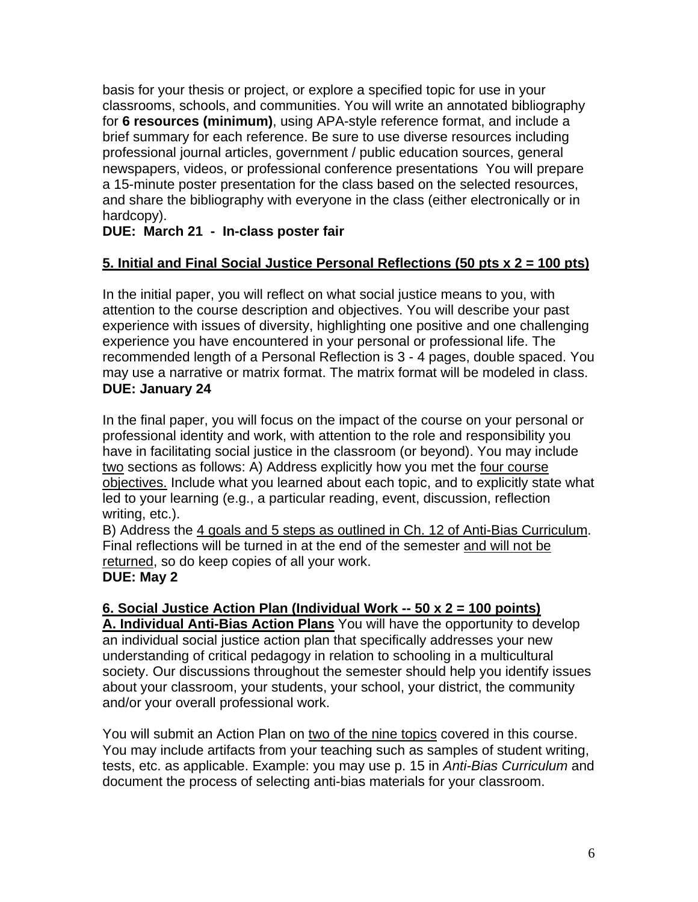basis for your thesis or project, or explore a specified topic for use in your classrooms, schools, and communities. You will write an annotated bibliography for **6 resources (minimum)**, using APA-style reference format, and include a brief summary for each reference. Be sure to use diverse resources including professional journal articles, government / public education sources, general newspapers, videos, or professional conference presentations You will prepare a 15-minute poster presentation for the class based on the selected resources, and share the bibliography with everyone in the class (either electronically or in hardcopy).

# **DUE: March 21 - In-class poster fair**

# **5. Initial and Final Social Justice Personal Reflections (50 pts x 2 = 100 pts)**

In the initial paper, you will reflect on what social justice means to you, with attention to the course description and objectives. You will describe your past experience with issues of diversity, highlighting one positive and one challenging experience you have encountered in your personal or professional life. The recommended length of a Personal Reflection is 3 - 4 pages, double spaced. You may use a narrative or matrix format. The matrix format will be modeled in class. **DUE: January 24** 

In the final paper, you will focus on the impact of the course on your personal or professional identity and work, with attention to the role and responsibility you have in facilitating social justice in the classroom (or beyond). You may include two sections as follows: A) Address explicitly how you met the four course objectives. Include what you learned about each topic, and to explicitly state what led to your learning (e.g., a particular reading, event, discussion, reflection writing, etc.).

B) Address the 4 goals and 5 steps as outlined in Ch. 12 of Anti-Bias Curriculum. Final reflections will be turned in at the end of the semester and will not be returned, so do keep copies of all your work. **DUE: May 2** 

## **6. Social Justice Action Plan (Individual Work -- 50 x 2 = 100 points)**

**A. Individual Anti-Bias Action Plans** You will have the opportunity to develop an individual social justice action plan that specifically addresses your new understanding of critical pedagogy in relation to schooling in a multicultural society. Our discussions throughout the semester should help you identify issues about your classroom, your students, your school, your district, the community and/or your overall professional work.

You will submit an Action Plan on two of the nine topics covered in this course. You may include artifacts from your teaching such as samples of student writing, tests, etc. as applicable. Example: you may use p. 15 in *Anti-Bias Curriculum* and document the process of selecting anti-bias materials for your classroom.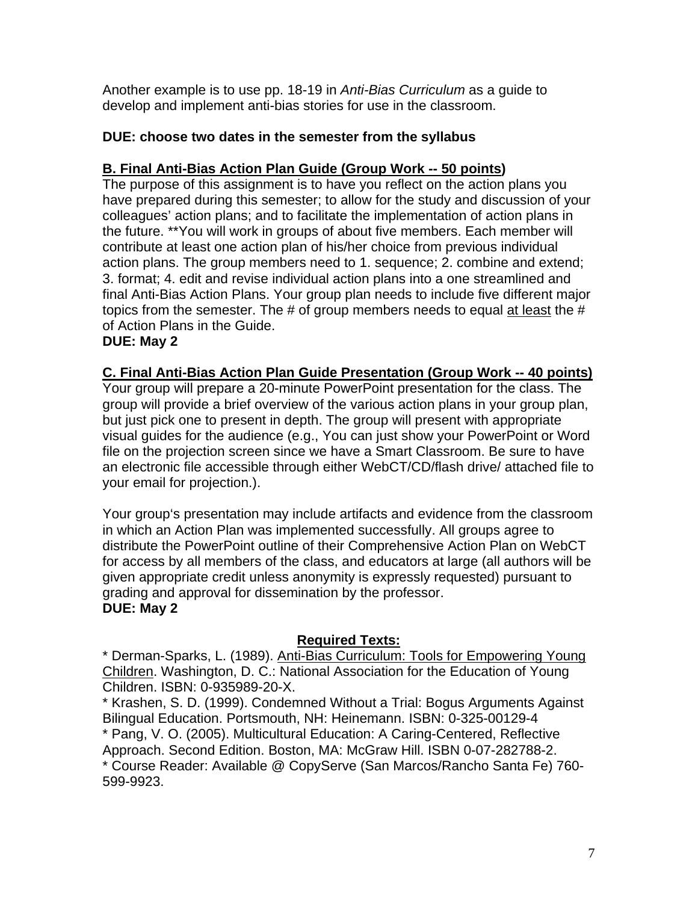Another example is to use pp. 18-19 in *Anti-Bias Curriculum* as a guide to develop and implement anti-bias stories for use in the classroom.

## **DUE: choose two dates in the semester from the syllabus**

## **B. Final Anti-Bias Action Plan Guide (Group Work -- 50 points)**

The purpose of this assignment is to have you reflect on the action plans you have prepared during this semester; to allow for the study and discussion of your colleagues' action plans; and to facilitate the implementation of action plans in the future. \*\*You will work in groups of about five members. Each member will contribute at least one action plan of his/her choice from previous individual action plans. The group members need to 1. sequence; 2. combine and extend; 3. format; 4. edit and revise individual action plans into a one streamlined and final Anti-Bias Action Plans. Your group plan needs to include five different major topics from the semester. The # of group members needs to equal at least the # of Action Plans in the Guide.

## **DUE: May 2**

## **C. Final Anti-Bias Action Plan Guide Presentation (Group Work -- 40 points)**

Your group will prepare a 20-minute PowerPoint presentation for the class. The group will provide a brief overview of the various action plans in your group plan, but just pick one to present in depth. The group will present with appropriate visual guides for the audience (e.g., You can just show your PowerPoint or Word file on the projection screen since we have a Smart Classroom. Be sure to have an electronic file accessible through either WebCT/CD/flash drive/ attached file to your email for projection.).

Your group's presentation may include artifacts and evidence from the classroom in which an Action Plan was implemented successfully. All groups agree to distribute the PowerPoint outline of their Comprehensive Action Plan on WebCT for access by all members of the class, and educators at large (all authors will be given appropriate credit unless anonymity is expressly requested) pursuant to grading and approval for dissemination by the professor. **DUE: May 2**

## **Required Texts:**

\* Derman-Sparks, L. (1989). Anti-Bias Curriculum: Tools for Empowering Young Children. Washington, D. C.: National Association for the Education of Young Children. ISBN: 0-935989-20-X.

\* Krashen, S. D. (1999). Condemned Without a Trial: Bogus Arguments Against Bilingual Education. Portsmouth, NH: Heinemann. ISBN: 0-325-00129-4

\* Pang, V. O. (2005). Multicultural Education: A Caring-Centered, Reflective Approach. Second Edition. Boston, MA: McGraw Hill. ISBN 0-07-282788-2. \* Course Reader: Available @ CopyServe (San Marcos/Rancho Santa Fe) 760- 599-9923.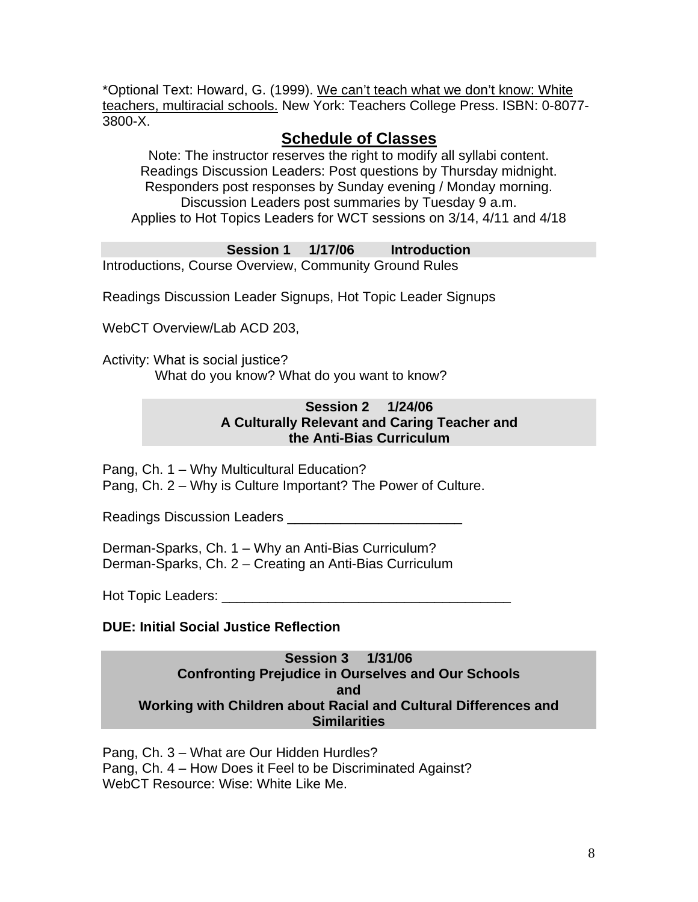\*Optional Text: Howard, G. (1999). We can't teach what we don't know: White teachers, multiracial schools. New York: Teachers College Press. ISBN: 0-8077- 3800-X.

# **Schedule of Classes**

Note: The instructor reserves the right to modify all syllabi content. Readings Discussion Leaders: Post questions by Thursday midnight. Responders post responses by Sunday evening / Monday morning. Discussion Leaders post summaries by Tuesday 9 a.m. Applies to Hot Topics Leaders for WCT sessions on 3/14, 4/11 and 4/18

**Session 1 1/17/06 Introduction** 

Introductions, Course Overview, Community Ground Rules

Readings Discussion Leader Signups, Hot Topic Leader Signups

WebCT Overview/Lab ACD 203,

Activity: What is social justice? What do you know? What do you want to know?

## **Session 2 1/24/06 A Culturally Relevant and Caring Teacher and the Anti-Bias Curriculum**

Pang, Ch. 1 – Why Multicultural Education? Pang, Ch. 2 – Why is Culture Important? The Power of Culture.

Readings Discussion Leaders \_\_\_\_\_\_\_\_\_\_\_\_\_\_\_\_\_\_\_\_\_\_\_

Derman-Sparks, Ch. 1 – Why an Anti-Bias Curriculum? Derman-Sparks, Ch. 2 – Creating an Anti-Bias Curriculum

Hot Topic Leaders: \_\_\_\_\_\_\_\_\_\_\_\_\_\_\_\_\_\_\_\_\_\_\_\_\_\_\_\_\_\_\_\_\_\_\_\_\_\_

# **DUE: Initial Social Justice Reflection**

**Session 3 1/31/06 Confronting Prejudice in Ourselves and Our Schools and Working with Children about Racial and Cultural Differences and Similarities**

Pang, Ch. 3 – What are Our Hidden Hurdles? Pang, Ch. 4 – How Does it Feel to be Discriminated Against? WebCT Resource: Wise: White Like Me.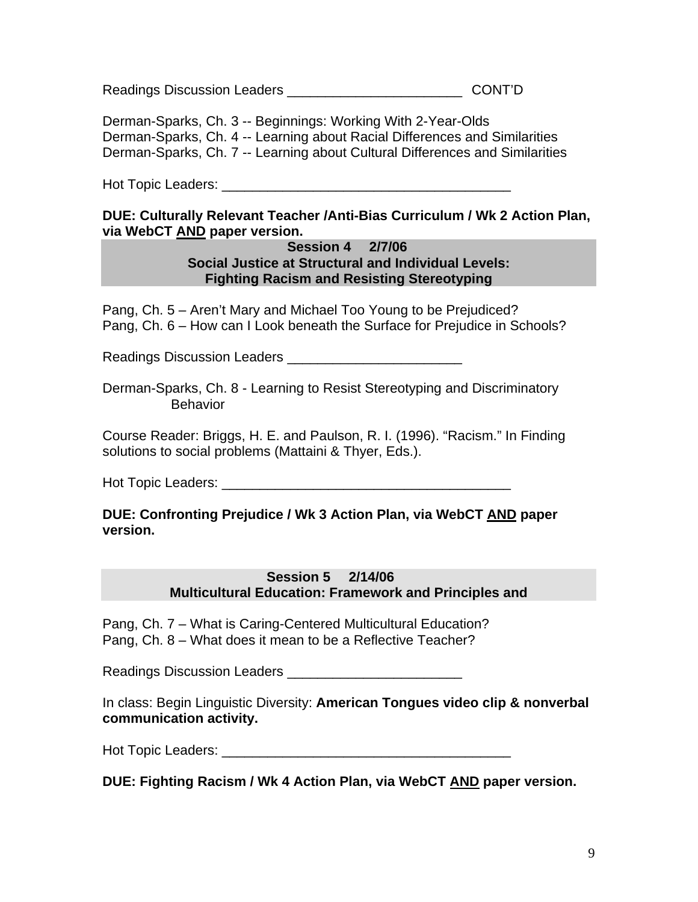Readings Discussion Leaders **Example 20 Set 10** CONT'D

Derman-Sparks, Ch. 3 -- Beginnings: Working With 2-Year-Olds Derman-Sparks, Ch. 4 -- Learning about Racial Differences and Similarities Derman-Sparks, Ch. 7 -- Learning about Cultural Differences and Similarities

Hot Topic Leaders: \_\_\_\_\_\_\_\_\_\_\_\_\_\_\_\_\_\_\_\_\_\_\_\_\_\_\_\_\_\_\_\_\_\_\_\_\_\_

## **DUE: Culturally Relevant Teacher /Anti-Bias Curriculum / Wk 2 Action Plan, via WebCT AND paper version.**

## **Session 4 2/7/06 Social Justice at Structural and Individual Levels: Fighting Racism and Resisting Stereotyping**

Pang, Ch. 5 – Aren't Mary and Michael Too Young to be Prejudiced? Pang, Ch. 6 – How can I Look beneath the Surface for Prejudice in Schools?

Readings Discussion Leaders \_\_\_\_\_\_\_\_\_\_\_\_\_\_\_\_\_\_\_\_\_\_\_

Derman-Sparks, Ch. 8 - Learning to Resist Stereotyping and Discriminatory **Behavior** 

Course Reader: Briggs, H. E. and Paulson, R. I. (1996). "Racism." In Finding solutions to social problems (Mattaini & Thyer, Eds.).

Hot Topic Leaders: \_\_\_\_\_\_\_\_\_\_\_\_\_\_\_\_\_\_\_\_\_\_\_\_\_\_\_\_\_\_\_\_\_\_\_\_\_\_

## **DUE: Confronting Prejudice / Wk 3 Action Plan, via WebCT AND paper version.**

## **Session 5 2/14/06 Multicultural Education: Framework and Principles and**

Pang, Ch. 7 – What is Caring-Centered Multicultural Education? Pang, Ch. 8 – What does it mean to be a Reflective Teacher?

Readings Discussion Leaders **Leaders** 2008

In class: Begin Linguistic Diversity: **American Tongues video clip & nonverbal communication activity.** 

Hot Topic Leaders: \_\_\_\_\_\_\_\_\_\_\_\_\_\_\_\_\_\_\_\_\_\_\_\_\_\_\_\_\_\_\_\_\_\_\_\_\_\_

**DUE: Fighting Racism / Wk 4 Action Plan, via WebCT AND paper version.**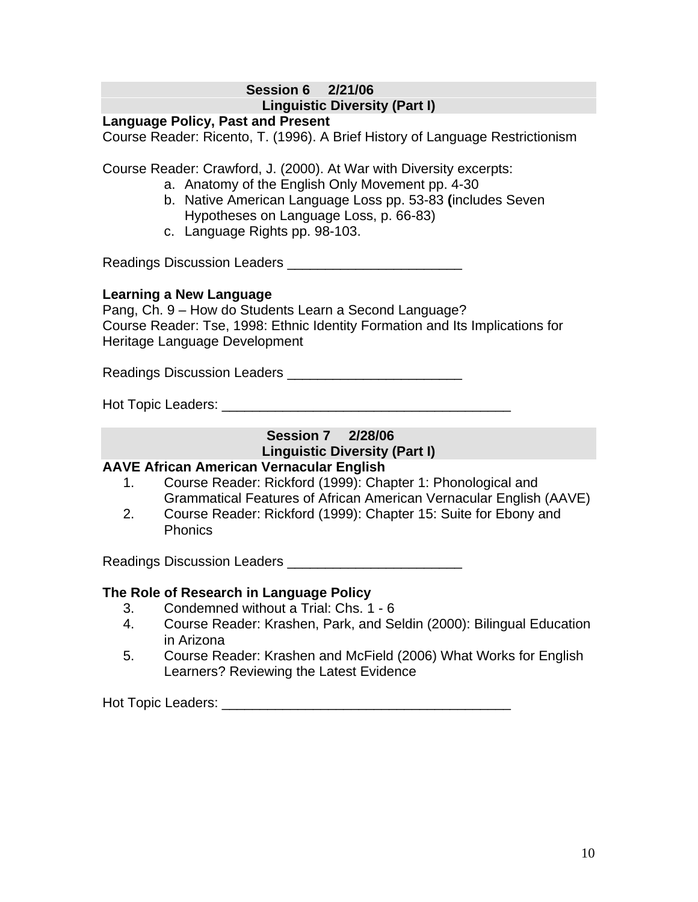## **Session 6 2/21/06 Linguistic Diversity (Part I)**

#### **Language Policy, Past and Present**

Course Reader: Ricento, T. (1996). A Brief History of Language Restrictionism

Course Reader: Crawford, J. (2000). At War with Diversity excerpts:

- a. Anatomy of the English Only Movement pp. 4-30
- b. Native American Language Loss pp. 53-83 **(**includes Seven Hypotheses on Language Loss, p. 66-83)
- c. Language Rights pp. 98-103.

Readings Discussion Leaders \_\_\_\_\_\_\_\_\_\_\_\_\_\_\_\_\_\_\_\_\_\_\_

## **Learning a New Language**

Pang, Ch. 9 – How do Students Learn a Second Language? Course Reader: Tse, 1998: Ethnic Identity Formation and Its Implications for Heritage Language Development

Readings Discussion Leaders \_\_\_\_\_\_\_\_\_\_\_\_\_\_\_\_\_\_\_\_\_\_\_

Hot Topic Leaders: **Example 20** Figure 20 Figure 20 Figure 20 Figure 20 Figure 20 Figure 20 Figure 20 Figure 20 Figure 20 Figure 20 Figure 20 Figure 20 Figure 20 Figure 20 Figure 20 Figure 20 Figure 20 Figure 20 Figure 20

# **Session 7 2/28/06 Linguistic Diversity (Part I)**

# **AAVE African American Vernacular English**

- 1. Course Reader: Rickford (1999): Chapter 1: Phonological and Grammatical Features of African American Vernacular English (AAVE)
- 2. Course Reader: Rickford (1999): Chapter 15: Suite for Ebony and Phonics

Readings Discussion Leaders \_\_\_\_\_\_\_\_\_\_\_\_\_\_\_\_\_\_\_\_\_\_\_

# **The Role of Research in Language Policy**

- 3. Condemned without a Trial: Chs. 1 6
- 4. Course Reader: Krashen, Park, and Seldin (2000): Bilingual Education in Arizona
- 5. Course Reader: Krashen and McField (2006) What Works for English Learners? Reviewing the Latest Evidence

Hot Topic Leaders: \_\_\_\_\_\_\_\_\_\_\_\_\_\_\_\_\_\_\_\_\_\_\_\_\_\_\_\_\_\_\_\_\_\_\_\_\_\_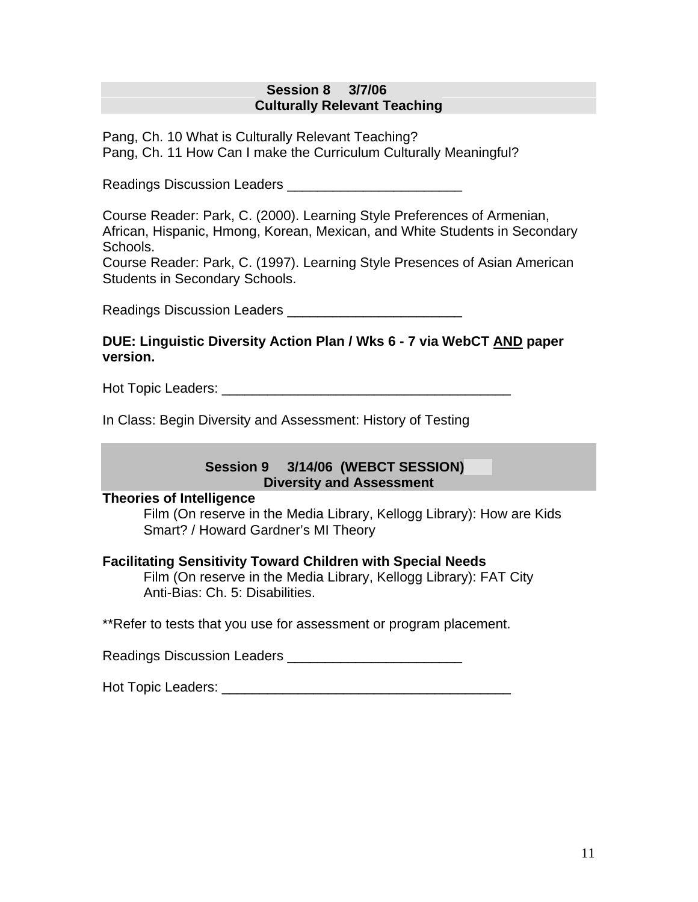#### **Session 8 3/7/06 Culturally Relevant Teaching**

Pang, Ch. 10 What is Culturally Relevant Teaching? Pang, Ch. 11 How Can I make the Curriculum Culturally Meaningful?

Readings Discussion Leaders **Example 20** 

Course Reader: Park, C. (2000). Learning Style Preferences of Armenian, African, Hispanic, Hmong, Korean, Mexican, and White Students in Secondary Schools.

Course Reader: Park, C. (1997). Learning Style Presences of Asian American Students in Secondary Schools.

Readings Discussion Leaders **Example 20** 

## **DUE: Linguistic Diversity Action Plan / Wks 6 - 7 via WebCT AND paper version.**

Hot Topic Leaders: **Example 20** Figure 20 Figure 20 Figure 20 Figure 20 Figure 20 Figure 20 Figure 20 Figure 20 Figure 20 Figure 20 Figure 20 Figure 20 Figure 20 Figure 20 Figure 20 Figure 20 Figure 20 Figure 20 Figure 20

In Class: Begin Diversity and Assessment: History of Testing

## **Session 9 3/14/06 (WEBCT SESSION) Diversity and Assessment**

## **Theories of Intelligence**

Film (On reserve in the Media Library, Kellogg Library): How are Kids Smart? / Howard Gardner's MI Theory

## **Facilitating Sensitivity Toward Children with Special Needs**

Film (On reserve in the Media Library, Kellogg Library): FAT City Anti-Bias: Ch. 5: Disabilities.

\*\*Refer to tests that you use for assessment or program placement.

Readings Discussion Leaders **Example 20** 

Hot Topic Leaders: **Example 1**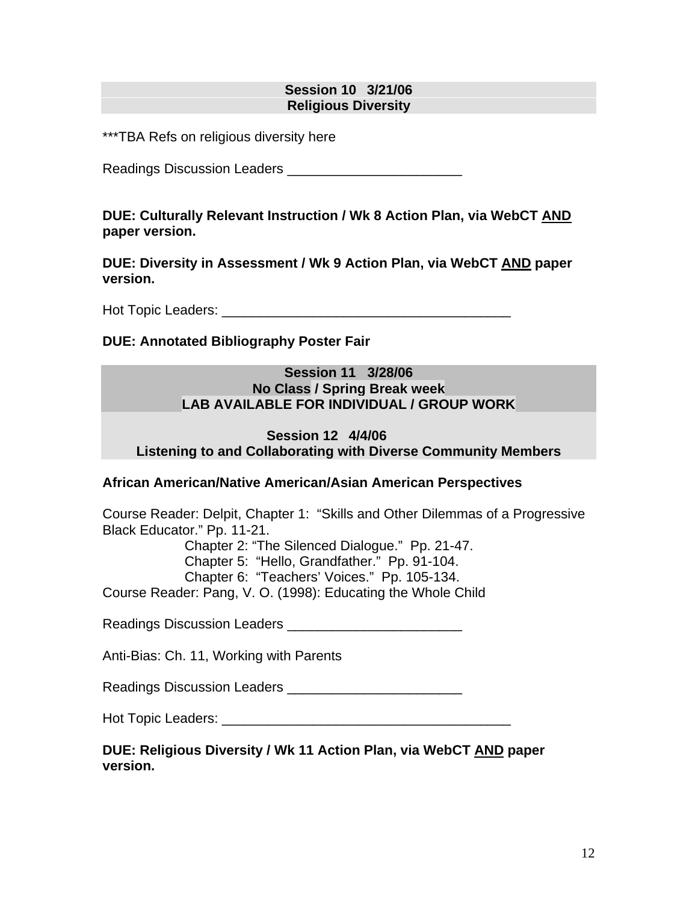## **Session 10 3/21/06 Religious Diversity**

\*\*\*TBA Refs on religious diversity here

Readings Discussion Leaders \_\_\_\_\_\_\_\_\_\_\_\_\_\_\_\_\_\_\_\_\_\_\_

**DUE: Culturally Relevant Instruction / Wk 8 Action Plan, via WebCT AND paper version.** 

**DUE: Diversity in Assessment / Wk 9 Action Plan, via WebCT AND paper version.**

Hot Topic Leaders: **Example 20** For the set of the set of the set of the set of the set of the set of the set of the set of the set of the set of the set of the set of the set of the set of the set of the set of the set of

## **DUE: Annotated Bibliography Poster Fair**

#### **Session 11 3/28/06 No Class / Spring Break week LAB AVAILABLE FOR INDIVIDUAL / GROUP WORK**

#### **Session 12 4/4/06 Listening to and Collaborating with Diverse Community Members**

## **African American/Native American/Asian American Perspectives**

Course Reader: Delpit, Chapter 1: "Skills and Other Dilemmas of a Progressive Black Educator." Pp. 11-21.

Chapter 2: "The Silenced Dialogue." Pp. 21-47.

Chapter 5: "Hello, Grandfather." Pp. 91-104.

Chapter 6: "Teachers' Voices." Pp. 105-134.

Course Reader: Pang, V. O. (1998): Educating the Whole Child

Readings Discussion Leaders \_\_\_\_\_\_\_\_\_\_\_\_\_\_\_\_\_\_\_\_\_\_\_

Anti-Bias: Ch. 11, Working with Parents

Readings Discussion Leaders **Example 20** 

Hot Topic Leaders: \_\_\_\_\_\_\_\_\_\_\_\_\_\_\_\_\_\_\_\_\_\_\_\_\_\_\_\_\_\_\_\_\_\_\_\_\_\_

**DUE: Religious Diversity / Wk 11 Action Plan, via WebCT AND paper version.**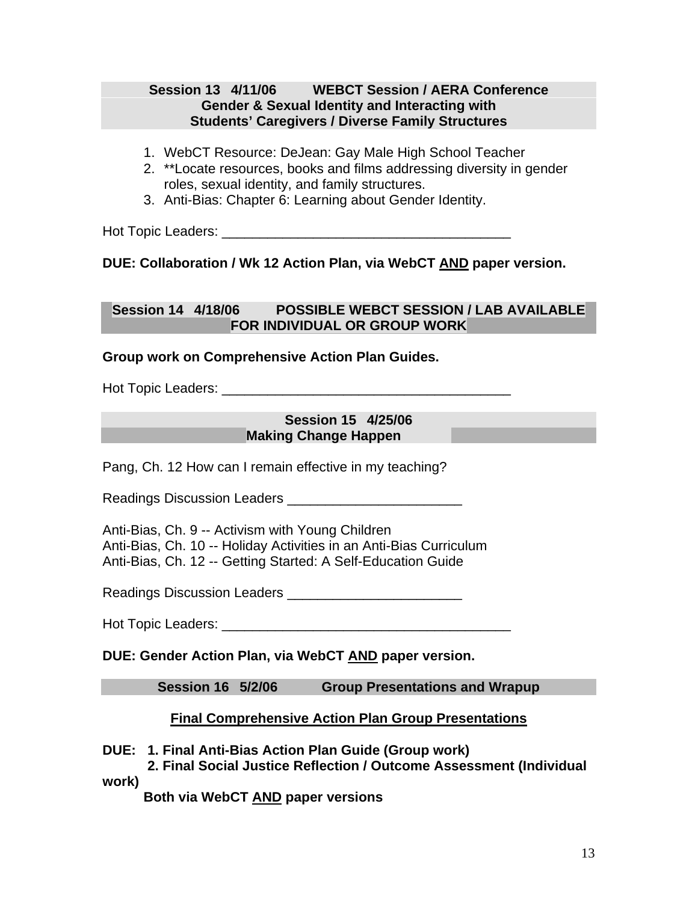## **Session 13 4/11/06 WEBCT Session / AERA Conference Gender & Sexual Identity and Interacting with Students' Caregivers / Diverse Family Structures**

- 1. WebCT Resource: DeJean: Gay Male High School Teacher
- 2. \*\*Locate resources, books and films addressing diversity in gender roles, sexual identity, and family structures.
- 3. Anti-Bias: Chapter 6: Learning about Gender Identity.

Hot Topic Leaders: \_\_\_\_\_\_\_\_\_\_\_\_\_\_\_\_\_\_\_\_\_\_\_\_\_\_\_\_\_\_\_\_\_\_\_\_\_\_

**DUE: Collaboration / Wk 12 Action Plan, via WebCT AND paper version.** 

## **Session 14 4/18/06 POSSIBLE WEBCT SESSION / LAB AVAILABLE FOR INDIVIDUAL OR GROUP WORK**

## **Group work on Comprehensive Action Plan Guides.**

Hot Topic Leaders: **Example 20** For the set of the set of the set of the set of the set of the set of the set of the set of the set of the set of the set of the set of the set of the set of the set of the set of the set of

#### **Session 15 4/25/06 Making Change Happen**

Pang, Ch. 12 How can I remain effective in my teaching?

Readings Discussion Leaders **Example 20** 

Anti-Bias, Ch. 9 -- Activism with Young Children Anti-Bias, Ch. 10 -- Holiday Activities in an Anti-Bias Curriculum Anti-Bias, Ch. 12 -- Getting Started: A Self-Education Guide

Readings Discussion Leaders \_\_\_\_\_\_\_\_\_\_\_\_\_\_\_\_\_\_\_\_\_\_\_

Hot Topic Leaders: **Example 1** 

**DUE: Gender Action Plan, via WebCT AND paper version.** 

**Session 16 5/2/06 Group Presentations and Wrapup** 

## **Final Comprehensive Action Plan Group Presentations**

**DUE: 1. Final Anti-Bias Action Plan Guide (Group work)** 

 **2. Final Social Justice Reflection / Outcome Assessment (Individual work)** 

**Both via WebCT AND paper versions**